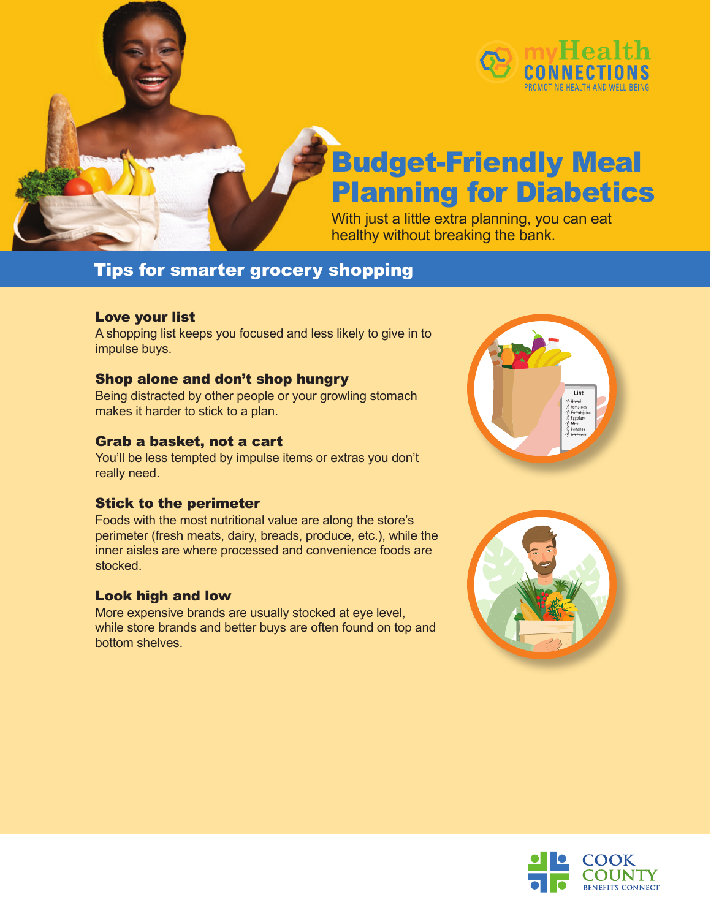

## Budget-Friendly Meal Planning for Diabetics

With just a little extra planning, you can eat healthy without breaking the bank.

### Tips for smarter grocery shopping

#### Love your list

A shopping list keeps you focused and less likely to give in to impulse buys.

#### Shop alone and don't shop hungry

Being distracted by other people or your growling stomach makes it harder to stick to a plan.

#### Grab a basket, not a cart

You'll be less tempted by impulse items or extras you don't really need.

#### Stick to the perimeter

Foods with the most nutritional value are along the store's perimeter (fresh meats, dairy, breads, produce, etc.), while the inner aisles are where processed and convenience foods are stocked.

#### Look high and low

More expensive brands are usually stocked at eye level, while store brands and better buys are often found on top and bottom shelves.





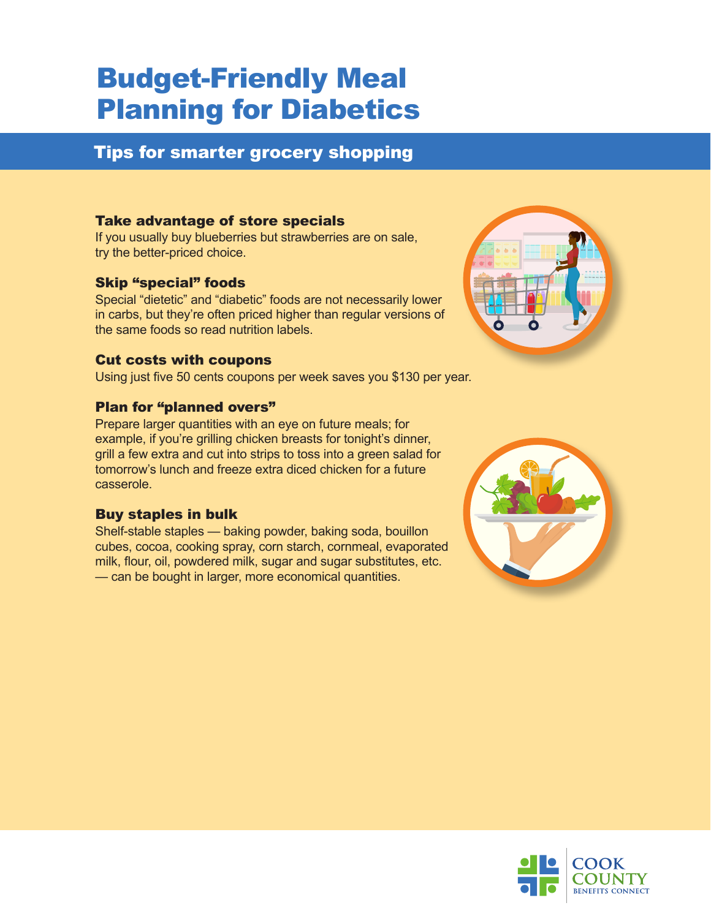## Budget-Friendly Meal Planning for Diabetics

### Tips for smarter grocery shopping

#### Take advantage of store specials

If you usually buy blueberries but strawberries are on sale, try the better-priced choice.

#### Skip "special" foods

Special "dietetic" and "diabetic" foods are not necessarily lower in carbs, but they're often priced higher than regular versions of the same foods so read nutrition labels.

#### Cut costs with coupons

Using just five 50 cents coupons per week saves you \$130 per year.

#### Plan for "planned overs"

Prepare larger quantities with an eye on future meals; for example, if you're grilling chicken breasts for tonight's dinner, grill a few extra and cut into strips to toss into a green salad for tomorrow's lunch and freeze extra diced chicken for a future casserole.

#### Buy staples in bulk

Shelf-stable staples — baking powder, baking soda, bouillon cubes, cocoa, cooking spray, corn starch, cornmeal, evaporated milk, flour, oil, powdered milk, sugar and sugar substitutes, etc. — can be bought in larger, more economical quantities.